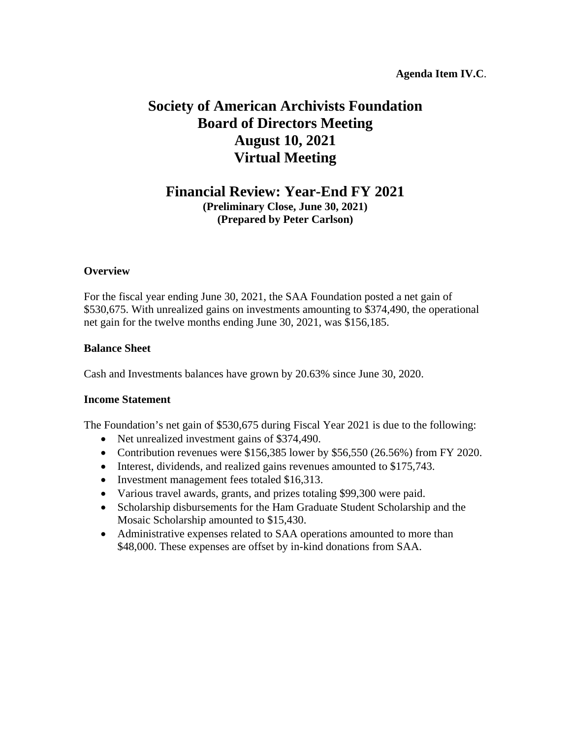# **Society of American Archivists Foundation Board of Directors Meeting August 10, 2021 Virtual Meeting**

# **Financial Review: Year-End FY 2021**

**(Preliminary Close, June 30, 2021) (Prepared by Peter Carlson)**

### **Overview**

For the fiscal year ending June 30, 2021, the SAA Foundation posted a net gain of \$530,675. With unrealized gains on investments amounting to \$374,490, the operational net gain for the twelve months ending June 30, 2021, was \$156,185.

### **Balance Sheet**

Cash and Investments balances have grown by 20.63% since June 30, 2020.

### **Income Statement**

The Foundation's net gain of \$530,675 during Fiscal Year 2021 is due to the following:

- Net unrealized investment gains of \$374,490.
- Contribution revenues were \$156,385 lower by \$56,550 (26.56%) from FY 2020.
- Interest, dividends, and realized gains revenues amounted to \$175,743.
- Investment management fees totaled \$16,313.
- Various travel awards, grants, and prizes totaling \$99,300 were paid.
- Scholarship disbursements for the Ham Graduate Student Scholarship and the Mosaic Scholarship amounted to \$15,430.
- Administrative expenses related to SAA operations amounted to more than \$48,000. These expenses are offset by in-kind donations from SAA.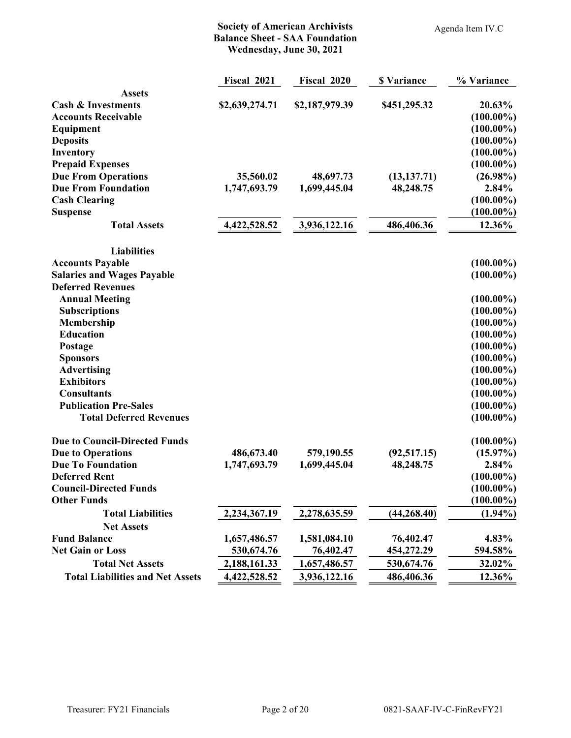### **Society of American Archivists Balance Sheet - SAA Foundation Wednesday, June 30, 2021**

**Fiscal 2021 Fiscal 2020 \$ Variance % Variance**

Agenda Item IV.C

| <b>Assets</b>                           |                |                |              |              |
|-----------------------------------------|----------------|----------------|--------------|--------------|
| <b>Cash &amp; Investments</b>           | \$2,639,274.71 | \$2,187,979.39 | \$451,295.32 | 20.63%       |
| <b>Accounts Receivable</b>              |                |                |              | $(100.00\%)$ |
| Equipment                               |                |                |              | $(100.00\%)$ |
| <b>Deposits</b>                         |                |                |              | $(100.00\%)$ |
| Inventory                               |                |                |              | $(100.00\%)$ |
| <b>Prepaid Expenses</b>                 |                |                |              | $(100.00\%)$ |
| <b>Due From Operations</b>              | 35,560.02      | 48,697.73      | (13, 137.71) | $(26.98\%)$  |
| <b>Due From Foundation</b>              | 1,747,693.79   | 1,699,445.04   | 48,248.75    | 2.84%        |
| <b>Cash Clearing</b>                    |                |                |              | $(100.00\%)$ |
| <b>Suspense</b>                         |                |                |              | $(100.00\%)$ |
| <b>Total Assets</b>                     | 4,422,528.52   | 3,936,122.16   | 486,406.36   | 12.36%       |
| <b>Liabilities</b>                      |                |                |              |              |
| <b>Accounts Payable</b>                 |                |                |              | $(100.00\%)$ |
| <b>Salaries and Wages Payable</b>       |                |                |              | $(100.00\%)$ |
| <b>Deferred Revenues</b>                |                |                |              |              |
| <b>Annual Meeting</b>                   |                |                |              | $(100.00\%)$ |
| <b>Subscriptions</b>                    |                |                |              | $(100.00\%)$ |
| Membership                              |                |                |              | $(100.00\%)$ |
| <b>Education</b>                        |                |                |              | $(100.00\%)$ |
| Postage                                 |                |                |              | $(100.00\%)$ |
| <b>Sponsors</b>                         |                |                |              | $(100.00\%)$ |
| <b>Advertising</b>                      |                |                |              | $(100.00\%)$ |
| <b>Exhibitors</b>                       |                |                |              | $(100.00\%)$ |
| <b>Consultants</b>                      |                |                |              | $(100.00\%)$ |
| <b>Publication Pre-Sales</b>            |                |                |              | $(100.00\%)$ |
| <b>Total Deferred Revenues</b>          |                |                |              | $(100.00\%)$ |
| <b>Due to Council-Directed Funds</b>    |                |                |              | $(100.00\%)$ |
| <b>Due to Operations</b>                | 486,673.40     | 579,190.55     | (92, 517.15) | $(15.97\%)$  |
| <b>Due To Foundation</b>                | 1,747,693.79   | 1,699,445.04   | 48,248.75    | 2.84%        |
| <b>Deferred Rent</b>                    |                |                |              | $(100.00\%)$ |
| <b>Council-Directed Funds</b>           |                |                |              | $(100.00\%)$ |
| <b>Other Funds</b>                      |                |                |              | $(100.00\%)$ |
| <b>Total Liabilities</b>                | 2,234,367.19   | 2,278,635.59   | (44, 268.40) | $(1.94\%)$   |
| <b>Net Assets</b>                       |                |                |              |              |
| <b>Fund Balance</b>                     | 1,657,486.57   | 1,581,084.10   | 76,402.47    | 4.83%        |
| <b>Net Gain or Loss</b>                 | 530,674.76     | 76,402.47      | 454,272.29   | 594.58%      |
| <b>Total Net Assets</b>                 | 2,188,161.33   | 1,657,486.57   | 530,674.76   | 32.02%       |
| <b>Total Liabilities and Net Assets</b> | 4,422,528.52   | 3,936,122.16   | 486,406.36   | 12.36%       |
|                                         |                |                |              |              |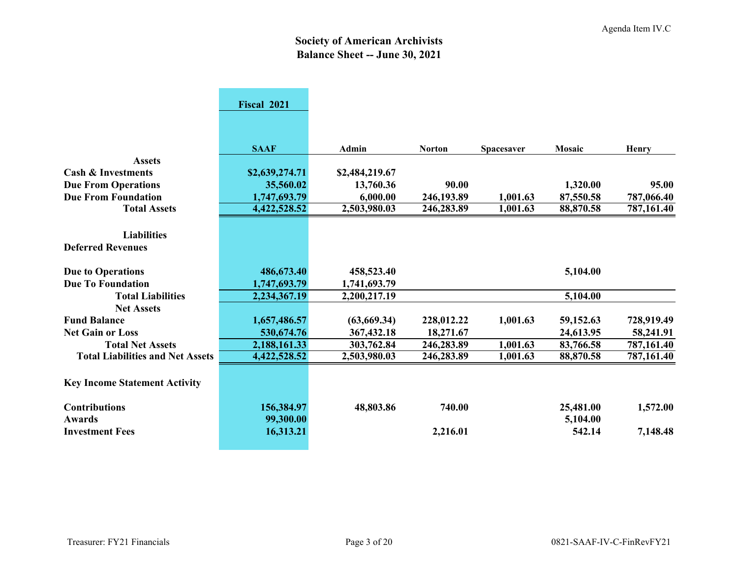# **Society of American Archivists Balance Sheet -- June 30, 2021**

|                                         | Fiscal 2021    |                |               |            |           |            |
|-----------------------------------------|----------------|----------------|---------------|------------|-----------|------------|
|                                         |                |                |               |            |           |            |
|                                         |                |                |               |            |           |            |
|                                         | <b>SAAF</b>    | Admin          | <b>Norton</b> | Spacesaver | Mosaic    | Henry      |
| <b>Assets</b>                           |                |                |               |            |           |            |
| <b>Cash &amp; Investments</b>           | \$2,639,274.71 | \$2,484,219.67 |               |            |           |            |
| <b>Due From Operations</b>              | 35,560.02      | 13,760.36      | 90.00         |            | 1,320.00  | 95.00      |
| <b>Due From Foundation</b>              | 1,747,693.79   | 6,000.00       | 246,193.89    | 1,001.63   | 87,550.58 | 787,066.40 |
| <b>Total Assets</b>                     | 4,422,528.52   | 2,503,980.03   | 246,283.89    | 1,001.63   | 88,870.58 | 787,161.40 |
|                                         |                |                |               |            |           |            |
| <b>Liabilities</b>                      |                |                |               |            |           |            |
| <b>Deferred Revenues</b>                |                |                |               |            |           |            |
|                                         |                |                |               |            |           |            |
| <b>Due to Operations</b>                | 486,673.40     | 458,523.40     |               |            | 5,104.00  |            |
| <b>Due To Foundation</b>                | 1,747,693.79   | 1,741,693.79   |               |            |           |            |
| <b>Total Liabilities</b>                | 2,234,367.19   | 2,200,217.19   |               |            | 5,104.00  |            |
| <b>Net Assets</b>                       |                |                |               |            |           |            |
| <b>Fund Balance</b>                     | 1,657,486.57   | (63,669.34)    | 228,012.22    | 1,001.63   | 59,152.63 | 728,919.49 |
| <b>Net Gain or Loss</b>                 | 530,674.76     | 367,432.18     | 18,271.67     |            | 24,613.95 | 58,241.91  |
| <b>Total Net Assets</b>                 | 2,188,161.33   | 303,762.84     | 246,283.89    | 1,001.63   | 83,766.58 | 787,161.40 |
| <b>Total Liabilities and Net Assets</b> | 4,422,528.52   | 2,503,980.03   | 246,283.89    | 1,001.63   | 88,870.58 | 787,161.40 |
|                                         |                |                |               |            |           |            |
| <b>Key Income Statement Activity</b>    |                |                |               |            |           |            |
|                                         |                |                |               |            |           |            |
| <b>Contributions</b>                    | 156,384.97     | 48,803.86      | 740.00        |            | 25,481.00 | 1,572.00   |
| <b>Awards</b>                           | 99,300.00      |                |               |            | 5,104.00  |            |
| <b>Investment Fees</b>                  | 16,313.21      |                | 2,216.01      |            | 542.14    | 7,148.48   |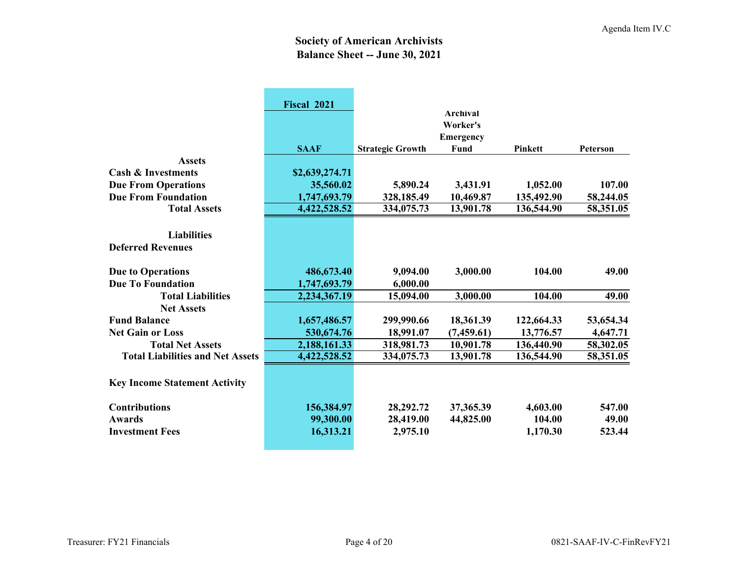# **Society of American Archivists Balance Sheet -- June 30, 2021**

|                                                | Fiscal 2021<br><b>SAAF</b> |                         | <b>Archival</b><br>Worker's<br><b>Emergency</b><br>Fund | <b>Pinkett</b> | Peterson  |
|------------------------------------------------|----------------------------|-------------------------|---------------------------------------------------------|----------------|-----------|
| <b>Assets</b>                                  |                            | <b>Strategic Growth</b> |                                                         |                |           |
| <b>Cash &amp; Investments</b>                  |                            |                         |                                                         |                |           |
|                                                | \$2,639,274.71             |                         |                                                         |                |           |
| <b>Due From Operations</b>                     | 35,560.02                  | 5,890.24                | 3,431.91                                                | 1,052.00       | 107.00    |
| <b>Due From Foundation</b>                     | 1,747,693.79               | 328,185.49              | 10,469.87                                               | 135,492.90     | 58,244.05 |
| <b>Total Assets</b>                            | 4,422,528.52               | 334,075.73              | 13,901.78                                               | 136,544.90     | 58,351.05 |
| <b>Liabilities</b><br><b>Deferred Revenues</b> |                            |                         |                                                         |                |           |
| <b>Due to Operations</b>                       | 486,673.40                 | 9,094.00                | 3,000.00                                                | 104.00         | 49.00     |
| <b>Due To Foundation</b>                       | 1,747,693.79               | 6,000.00                |                                                         |                |           |
| <b>Total Liabilities</b>                       | 2,234,367.19               | 15,094.00               | 3,000.00                                                | 104.00         | 49.00     |
| <b>Net Assets</b>                              |                            |                         |                                                         |                |           |
| <b>Fund Balance</b>                            | 1,657,486.57               | 299,990.66              | 18,361.39                                               | 122,664.33     | 53,654.34 |
| <b>Net Gain or Loss</b>                        | 530,674.76                 | 18,991.07               | (7,459.61)                                              | 13,776.57      | 4,647.71  |
| <b>Total Net Assets</b>                        | 2,188,161.33               | 318,981.73              | 10,901.78                                               | 136,440.90     | 58,302.05 |
| <b>Total Liabilities and Net Assets</b>        | 4,422,528.52               | 334,075.73              | 13,901.78                                               | 136,544.90     | 58,351.05 |
| <b>Key Income Statement Activity</b>           |                            |                         |                                                         |                |           |
| <b>Contributions</b>                           | 156,384.97                 | 28,292.72               | 37,365.39                                               | 4,603.00       | 547.00    |
| <b>Awards</b>                                  | 99,300.00                  | 28,419.00               | 44,825.00                                               | 104.00         | 49.00     |
| <b>Investment Fees</b>                         | 16,313.21                  | 2,975.10                |                                                         | 1,170.30       | 523.44    |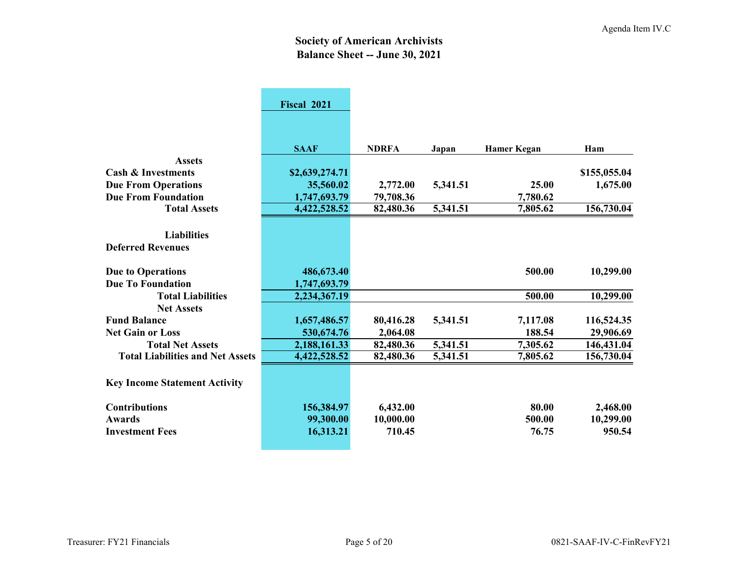# **Society of American Archivists Balance Sheet -- June 30, 2021**

|                                         | Fiscal 2021    |              |          |                    |              |
|-----------------------------------------|----------------|--------------|----------|--------------------|--------------|
|                                         |                |              |          |                    |              |
|                                         |                |              |          |                    |              |
|                                         | <b>SAAF</b>    | <b>NDRFA</b> | Japan    | <b>Hamer Kegan</b> | Ham          |
| <b>Assets</b>                           |                |              |          |                    |              |
| <b>Cash &amp; Investments</b>           | \$2,639,274.71 |              |          |                    | \$155,055.04 |
| <b>Due From Operations</b>              | 35,560.02      | 2,772.00     | 5,341.51 | 25.00              | 1,675.00     |
| <b>Due From Foundation</b>              | 1,747,693.79   | 79,708.36    |          | 7,780.62           |              |
| <b>Total Assets</b>                     | 4,422,528.52   | 82,480.36    | 5,341.51 | 7,805.62           | 156,730.04   |
|                                         |                |              |          |                    |              |
| <b>Liabilities</b>                      |                |              |          |                    |              |
| <b>Deferred Revenues</b>                |                |              |          |                    |              |
|                                         |                |              |          |                    |              |
| <b>Due to Operations</b>                | 486,673.40     |              |          | 500.00             | 10,299.00    |
| <b>Due To Foundation</b>                | 1,747,693.79   |              |          |                    |              |
| <b>Total Liabilities</b>                | 2,234,367.19   |              |          | 500.00             | 10,299.00    |
| <b>Net Assets</b>                       |                |              |          |                    |              |
| <b>Fund Balance</b>                     | 1,657,486.57   | 80,416.28    | 5,341.51 | 7,117.08           | 116,524.35   |
| <b>Net Gain or Loss</b>                 | 530,674.76     | 2,064.08     |          | 188.54             | 29,906.69    |
| <b>Total Net Assets</b>                 | 2,188,161.33   | 82,480.36    | 5,341.51 | 7,305.62           | 146,431.04   |
| <b>Total Liabilities and Net Assets</b> | 4,422,528.52   | 82,480.36    | 5,341.51 | 7,805.62           | 156,730.04   |
|                                         |                |              |          |                    |              |
| <b>Key Income Statement Activity</b>    |                |              |          |                    |              |
| <b>Contributions</b>                    | 156,384.97     | 6,432.00     |          | 80.00              | 2,468.00     |
| <b>Awards</b>                           | 99,300.00      | 10,000.00    |          | 500.00             | 10,299.00    |
| <b>Investment Fees</b>                  | 16,313.21      | 710.45       |          | 76.75              | 950.54       |
|                                         |                |              |          |                    |              |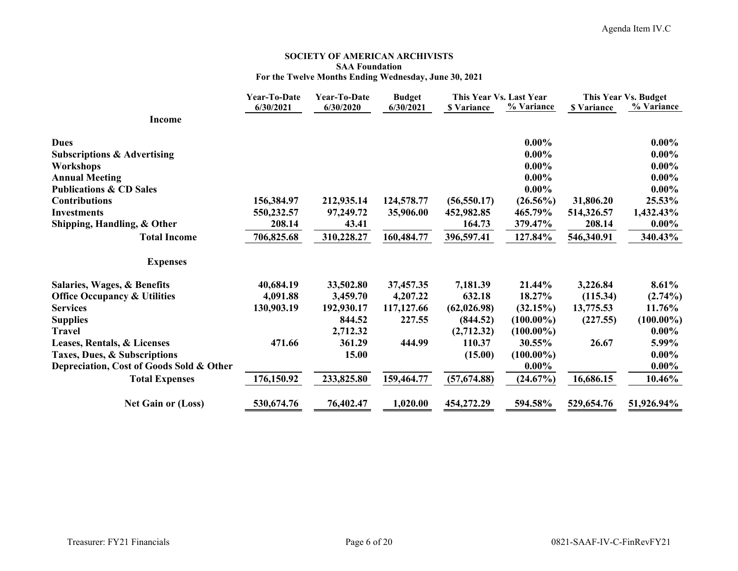#### **SOCIETY OF AMERICAN ARCHIVISTS SAA Foundation For the Twelve Months Ending Wednesday, June 30, 2021**

|                                          | <b>Year-To-Date</b> | Year-To-Date | <b>Budget</b> | This Year Vs. Last Year |              | This Year Vs. Budget |              |
|------------------------------------------|---------------------|--------------|---------------|-------------------------|--------------|----------------------|--------------|
|                                          | 6/30/2021           | 6/30/2020    | 6/30/2021     | <b>\$ Variance</b>      | % Variance   | <b>\$ Variance</b>   | % Variance   |
| <b>Income</b>                            |                     |              |               |                         |              |                      |              |
| <b>Dues</b>                              |                     |              |               |                         | $0.00\%$     |                      | $0.00\%$     |
| <b>Subscriptions &amp; Advertising</b>   |                     |              |               |                         | $0.00\%$     |                      | $0.00\%$     |
| Workshops                                |                     |              |               |                         | $0.00\%$     |                      | $0.00\%$     |
| <b>Annual Meeting</b>                    |                     |              |               |                         | $0.00\%$     |                      | $0.00\%$     |
| <b>Publications &amp; CD Sales</b>       |                     |              |               |                         | $0.00\%$     |                      | $0.00\%$     |
| <b>Contributions</b>                     | 156,384.97          | 212,935.14   | 124,578.77    | (56, 550.17)            | $(26.56\%)$  | 31,806.20            | 25.53%       |
| <b>Investments</b>                       | 550,232.57          | 97,249.72    | 35,906.00     | 452,982.85              | 465.79%      | 514,326.57           | 1,432.43%    |
| Shipping, Handling, & Other              | 208.14              | 43.41        |               | 164.73                  | 379.47%      | 208.14               | $0.00\%$     |
| <b>Total Income</b>                      | 706,825.68          | 310,228.27   | 160,484.77    | 396,597.41              | 127.84%      | 546,340.91           | 340.43%      |
| <b>Expenses</b>                          |                     |              |               |                         |              |                      |              |
| Salaries, Wages, & Benefits              | 40,684.19           | 33,502.80    | 37,457.35     | 7,181.39                | 21.44%       | 3,226.84             | 8.61%        |
| <b>Office Occupancy &amp; Utilities</b>  | 4,091.88            | 3,459.70     | 4,207.22      | 632.18                  | 18.27%       | (115.34)             | $(2.74\%)$   |
| <b>Services</b>                          | 130,903.19          | 192,930.17   | 117,127.66    | (62, 026.98)            | (32.15%)     | 13,775.53            | 11.76%       |
| <b>Supplies</b>                          |                     | 844.52       | 227.55        | (844.52)                | $(100.00\%)$ | (227.55)             | $(100.00\%)$ |
| <b>Travel</b>                            |                     | 2,712.32     |               | (2,712.32)              | $(100.00\%)$ |                      | $0.00\%$     |
| Leases, Rentals, & Licenses              | 471.66              | 361.29       | 444.99        | 110.37                  | 30.55%       | 26.67                | 5.99%        |
| Taxes, Dues, & Subscriptions             |                     | 15.00        |               | (15.00)                 | $(100.00\%)$ |                      | $0.00\%$     |
| Depreciation, Cost of Goods Sold & Other |                     |              |               |                         | $0.00\%$     |                      | $0.00\%$     |
| <b>Total Expenses</b>                    | 176,150.92          | 233,825.80   | 159,464.77    | (57,674.88)             | (24.67%)     | 16,686.15            | 10.46%       |
| <b>Net Gain or (Loss)</b>                | 530,674.76          | 76,402.47    | 1,020.00      | 454,272.29              | 594.58%      | 529,654.76           | 51,926.94%   |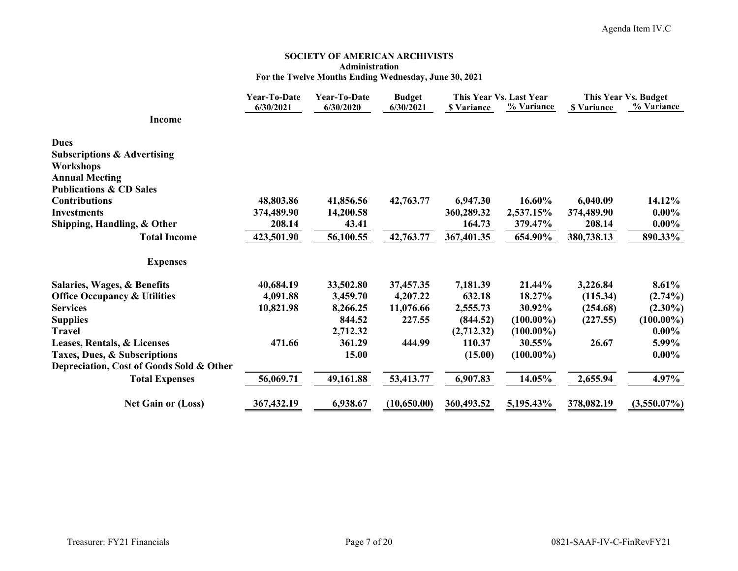#### **SOCIETY OF AMERICAN ARCHIVISTS Administration For the Twelve Months Ending Wednesday, June 30, 2021**

|                                          | Year-To-Date | Year-To-Date | <b>Budget</b> |                    | This Year Vs. Last Year | This Year Vs. Budget |                |
|------------------------------------------|--------------|--------------|---------------|--------------------|-------------------------|----------------------|----------------|
| Income                                   | 6/30/2021    | 6/30/2020    | 6/30/2021     | <b>\$</b> Variance | % Variance              | <b>S</b> Variance    | % Variance     |
| <b>Dues</b>                              |              |              |               |                    |                         |                      |                |
| <b>Subscriptions &amp; Advertising</b>   |              |              |               |                    |                         |                      |                |
| Workshops                                |              |              |               |                    |                         |                      |                |
| <b>Annual Meeting</b>                    |              |              |               |                    |                         |                      |                |
| <b>Publications &amp; CD Sales</b>       |              |              |               |                    |                         |                      |                |
| <b>Contributions</b>                     | 48,803.86    | 41,856.56    | 42,763.77     | 6,947.30           | 16.60%                  | 6,040.09             | 14.12%         |
| <b>Investments</b>                       | 374,489.90   | 14,200.58    |               | 360,289.32         | 2,537.15%               | 374,489.90           | $0.00\%$       |
| Shipping, Handling, & Other              | 208.14       | 43.41        |               | 164.73             | 379.47%                 | 208.14               | $0.00\%$       |
| <b>Total Income</b>                      | 423,501.90   | 56,100.55    | 42,763.77     | 367,401.35         | 654.90%                 | 380,738.13           | 890.33%        |
| <b>Expenses</b>                          |              |              |               |                    |                         |                      |                |
| Salaries, Wages, & Benefits              | 40,684.19    | 33,502.80    | 37,457.35     | 7,181.39           | 21.44%                  | 3,226.84             | 8.61%          |
| <b>Office Occupancy &amp; Utilities</b>  | 4,091.88     | 3,459.70     | 4,207.22      | 632.18             | 18.27%                  | (115.34)             | $(2.74\%)$     |
| <b>Services</b>                          | 10,821.98    | 8,266.25     | 11,076.66     | 2,555.73           | 30.92%                  | (254.68)             | $(2.30\%)$     |
| <b>Supplies</b>                          |              | 844.52       | 227.55        | (844.52)           | $(100.00\%)$            | (227.55)             | $(100.00\%)$   |
| <b>Travel</b>                            |              | 2,712.32     |               | (2,712.32)         | $(100.00\%)$            |                      | $0.00\%$       |
| Leases, Rentals, & Licenses              | 471.66       | 361.29       | 444.99        | 110.37             | 30.55%                  | 26.67                | 5.99%          |
| Taxes, Dues, & Subscriptions             |              | 15.00        |               | (15.00)            | $(100.00\%)$            |                      | $0.00\%$       |
| Depreciation, Cost of Goods Sold & Other |              |              |               |                    |                         |                      |                |
| <b>Total Expenses</b>                    | 56,069.71    | 49,161.88    | 53,413.77     | 6,907.83           | 14.05%                  | 2,655.94             | 4.97%          |
| <b>Net Gain or (Loss)</b>                | 367,432.19   | 6,938.67     | (10,650.00)   | 360,493.52         | 5,195.43%               | 378,082.19           | $(3,550.07\%)$ |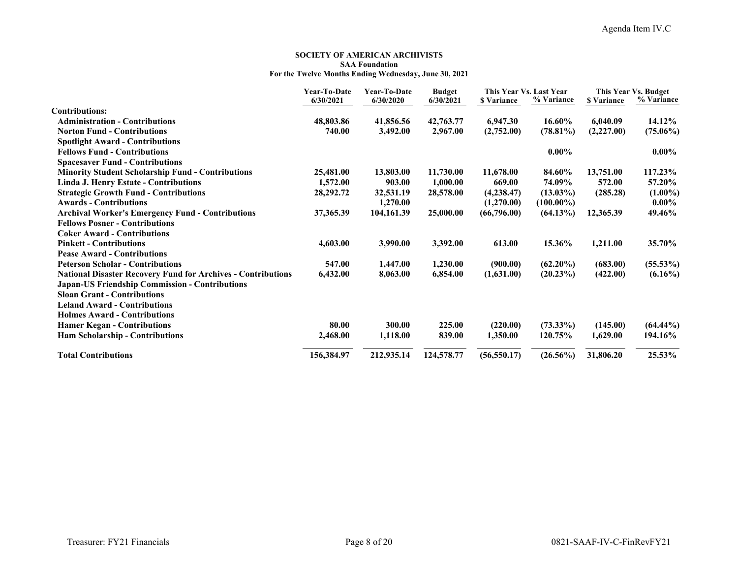#### **SOCIETY OF AMERICAN ARCHIVISTS SAA FoundationFor the Twelve Months Ending Wednesday, June 30, 2021**

|                                                                     | Year-To-Date<br>6/30/2021 | Year-To-Date<br>6/30/2020 | <b>Budget</b><br>6/30/2021 | This Year Vs. Last Year<br><b>S</b> Variance | % Variance   | <b>S</b> Variance | This Year Vs. Budget<br>% Variance |
|---------------------------------------------------------------------|---------------------------|---------------------------|----------------------------|----------------------------------------------|--------------|-------------------|------------------------------------|
| <b>Contributions:</b>                                               |                           |                           |                            |                                              |              |                   |                                    |
| <b>Administration - Contributions</b>                               | 48,803.86                 | 41,856.56                 | 42,763.77                  | 6,947.30                                     | 16.60%       | 6,040.09          | 14.12%                             |
| <b>Norton Fund - Contributions</b>                                  | 740.00                    | 3,492.00                  | 2,967.00                   | (2,752.00)                                   | $(78.81\%)$  | (2,227.00)        | $(75.06\%)$                        |
| <b>Spotlight Award - Contributions</b>                              |                           |                           |                            |                                              |              |                   |                                    |
| <b>Fellows Fund - Contributions</b>                                 |                           |                           |                            |                                              | $0.00\%$     |                   | $0.00\%$                           |
| <b>Spacesaver Fund - Contributions</b>                              |                           |                           |                            |                                              |              |                   |                                    |
| <b>Minority Student Scholarship Fund - Contributions</b>            | 25,481.00                 | 13,803.00                 | 11,730.00                  | 11,678.00                                    | 84.60%       | 13,751.00         | 117.23%                            |
| <b>Linda J. Henry Estate - Contributions</b>                        | 1,572.00                  | 903.00                    | 1,000.00                   | 669.00                                       | 74.09%       | 572.00            | 57.20%                             |
| <b>Strategic Growth Fund - Contributions</b>                        | 28, 292. 72               | 32,531.19                 | 28,578.00                  | (4,238.47)                                   | $(13.03\%)$  | (285.28)          | $(1.00\%)$                         |
| <b>Awards - Contributions</b>                                       |                           | 1,270.00                  |                            | (1,270.00)                                   | $(100.00\%)$ |                   | $0.00\%$                           |
| <b>Archival Worker's Emergency Fund - Contributions</b>             | 37, 365.39                | 104,161.39                | 25,000.00                  | (66,796.00)                                  | $(64.13\%)$  | 12,365.39         | 49.46%                             |
| <b>Fellows Posner - Contributions</b>                               |                           |                           |                            |                                              |              |                   |                                    |
| <b>Coker Award - Contributions</b>                                  |                           |                           |                            |                                              |              |                   |                                    |
| <b>Pinkett - Contributions</b>                                      | 4,603.00                  | 3,990.00                  | 3,392.00                   | 613.00                                       | 15.36%       | 1,211.00          | 35.70%                             |
| <b>Pease Award - Contributions</b>                                  |                           |                           |                            |                                              |              |                   |                                    |
| <b>Peterson Scholar - Contributions</b>                             | 547.00                    | 1,447.00                  | 1,230.00                   | (900.00)                                     | $(62.20\%)$  | (683.00)          | $(55.53\%)$                        |
| <b>National Disaster Recovery Fund for Archives - Contributions</b> | 6,432.00                  | 8,063.00                  | 6,854.00                   | (1,631.00)                                   | $(20.23\%)$  | (422.00)          | $(6.16\%)$                         |
| <b>Japan-US Friendship Commission - Contributions</b>               |                           |                           |                            |                                              |              |                   |                                    |
| <b>Sloan Grant - Contributions</b>                                  |                           |                           |                            |                                              |              |                   |                                    |
| <b>Leland Award - Contributions</b>                                 |                           |                           |                            |                                              |              |                   |                                    |
| <b>Holmes Award - Contributions</b>                                 |                           |                           |                            |                                              |              |                   |                                    |
| <b>Hamer Kegan - Contributions</b>                                  | 80.00                     | 300.00                    | 225.00                     | (220.00)                                     | $(73.33\%)$  | (145.00)          | $(64.44\%)$                        |
| <b>Ham Scholarship - Contributions</b>                              | 2,468.00                  | 1,118.00                  | 839.00                     | 1,350.00                                     | 120.75%      | 1,629.00          | 194.16%                            |
| <b>Total Contributions</b>                                          | 156,384.97                | 212,935.14                | 124,578.77                 | (56, 550.17)                                 | $(26.56\%)$  | 31,806.20         | 25.53%                             |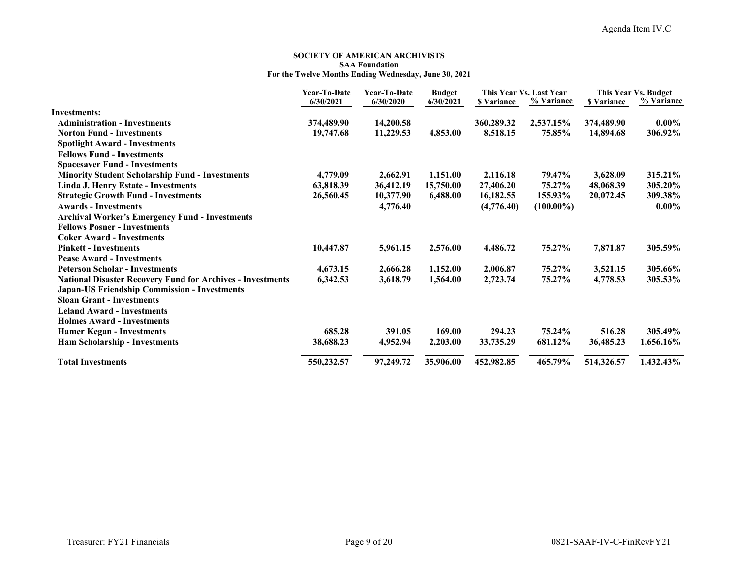#### **SOCIETY OF AMERICAN ARCHIVISTS SAA Foundation For the Twelve Months Ending Wednesday, June 30, 2021**

|                                                                   | Year-To-Date | Year-To-Date | <b>Budget</b> |                   | This Year Vs. Last Year |                    | This Year Vs. Budget |
|-------------------------------------------------------------------|--------------|--------------|---------------|-------------------|-------------------------|--------------------|----------------------|
|                                                                   | 6/30/2021    | 6/30/2020    | 6/30/2021     | <b>S</b> Variance | % Variance              | <b>\$</b> Variance | % Variance           |
| <b>Investments:</b>                                               |              |              |               |                   |                         |                    |                      |
| <b>Administration - Investments</b>                               | 374,489.90   | 14,200.58    |               | 360,289.32        | 2,537.15%               | 374,489.90         | $0.00\%$             |
| <b>Norton Fund - Investments</b>                                  | 19,747.68    | 11,229.53    | 4,853.00      | 8,518.15          | 75.85%                  | 14,894.68          | 306.92%              |
| <b>Spotlight Award - Investments</b>                              |              |              |               |                   |                         |                    |                      |
| <b>Fellows Fund - Investments</b>                                 |              |              |               |                   |                         |                    |                      |
| <b>Spacesaver Fund - Investments</b>                              |              |              |               |                   |                         |                    |                      |
| <b>Minority Student Scholarship Fund - Investments</b>            | 4,779.09     | 2,662.91     | 1,151.00      | 2,116.18          | 79.47%                  | 3,628.09           | 315.21%              |
| Linda J. Henry Estate - Investments                               | 63,818.39    | 36,412.19    | 15,750.00     | 27,406.20         | 75.27%                  | 48,068.39          | 305.20%              |
| <b>Strategic Growth Fund - Investments</b>                        | 26,560.45    | 10,377.90    | 6,488.00      | 16,182.55         | 155.93%                 | 20,072.45          | 309.38%              |
| <b>Awards - Investments</b>                                       |              | 4,776.40     |               | (4,776.40)        | $(100.00\%)$            |                    | $0.00\%$             |
| <b>Archival Worker's Emergency Fund - Investments</b>             |              |              |               |                   |                         |                    |                      |
| <b>Fellows Posner - Investments</b>                               |              |              |               |                   |                         |                    |                      |
| <b>Coker Award - Investments</b>                                  |              |              |               |                   |                         |                    |                      |
| <b>Pinkett - Investments</b>                                      | 10,447.87    | 5,961.15     | 2,576.00      | 4,486.72          | 75.27%                  | 7,871.87           | 305.59%              |
| <b>Pease Award - Investments</b>                                  |              |              |               |                   |                         |                    |                      |
| <b>Peterson Scholar - Investments</b>                             | 4,673.15     | 2,666.28     | 1,152.00      | 2,006.87          | 75.27%                  | 3,521.15           | 305.66%              |
| <b>National Disaster Recovery Fund for Archives - Investments</b> | 6,342.53     | 3,618.79     | 1,564.00      | 2,723.74          | 75.27%                  | 4,778.53           | 305.53%              |
| <b>Japan-US Friendship Commission - Investments</b>               |              |              |               |                   |                         |                    |                      |
| <b>Sloan Grant - Investments</b>                                  |              |              |               |                   |                         |                    |                      |
| <b>Leland Award - Investments</b>                                 |              |              |               |                   |                         |                    |                      |
| <b>Holmes Award - Investments</b>                                 |              |              |               |                   |                         |                    |                      |
| <b>Hamer Kegan - Investments</b>                                  | 685.28       | 391.05       | 169.00        | 294.23            | 75.24%                  | 516.28             | 305.49%              |
| <b>Ham Scholarship - Investments</b>                              | 38,688.23    | 4,952.94     | 2,203.00      | 33,735.29         | 681.12%                 | 36,485.23          | 1,656.16%            |
| <b>Total Investments</b>                                          | 550,232.57   | 97,249.72    | 35,906.00     | 452,982.85        | 465.79%                 | 514,326.57         | 1,432.43%            |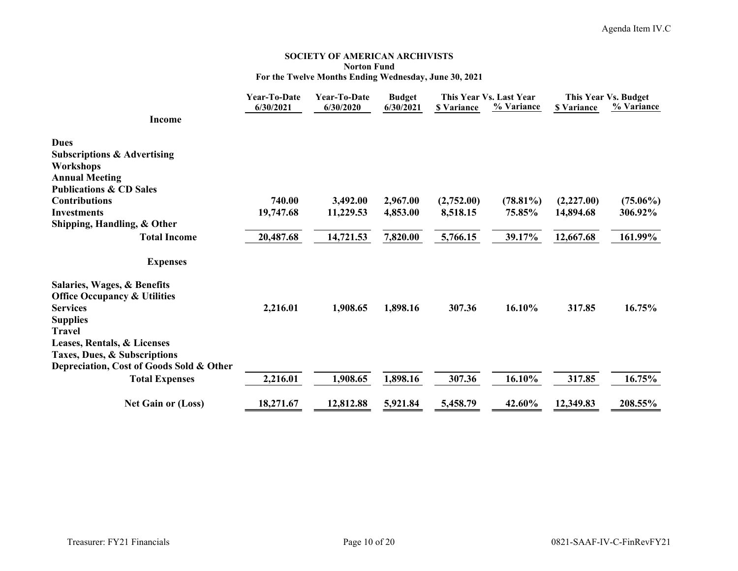#### **SOCIETY OF AMERICAN ARCHIVISTS Norton Fund For the Twelve Months Ending Wednesday, June 30, 2021**

|                                                                          | Year-To-Date<br><b>Year-To-Date</b> |           | <b>Budget</b> |                    | This Year Vs. Last Year | This Year Vs. Budget |             |
|--------------------------------------------------------------------------|-------------------------------------|-----------|---------------|--------------------|-------------------------|----------------------|-------------|
| <b>Income</b>                                                            | 6/30/2021                           | 6/30/2020 | 6/30/2021     | <b>\$ Variance</b> | % Variance              | <b>\$ Variance</b>   | % Variance  |
| <b>Dues</b>                                                              |                                     |           |               |                    |                         |                      |             |
| <b>Subscriptions &amp; Advertising</b>                                   |                                     |           |               |                    |                         |                      |             |
| <b>Workshops</b>                                                         |                                     |           |               |                    |                         |                      |             |
| <b>Annual Meeting</b><br><b>Publications &amp; CD Sales</b>              |                                     |           |               |                    |                         |                      |             |
| <b>Contributions</b>                                                     | 740.00                              | 3,492.00  | 2,967.00      | (2,752.00)         | $(78.81\%)$             | (2,227.00)           | $(75.06\%)$ |
| <b>Investments</b>                                                       | 19,747.68                           | 11,229.53 | 4,853.00      | 8,518.15           | 75.85%                  | 14,894.68            | 306.92%     |
| Shipping, Handling, & Other                                              |                                     |           |               |                    |                         |                      |             |
| <b>Total Income</b>                                                      | 20,487.68                           | 14,721.53 | 7,820.00      | 5,766.15           | 39.17%                  | 12,667.68            | 161.99%     |
| <b>Expenses</b>                                                          |                                     |           |               |                    |                         |                      |             |
| Salaries, Wages, & Benefits                                              |                                     |           |               |                    |                         |                      |             |
| <b>Office Occupancy &amp; Utilities</b>                                  |                                     |           |               |                    |                         |                      |             |
| <b>Services</b>                                                          | 2,216.01                            | 1,908.65  | 1,898.16      | 307.36             | 16.10%                  | 317.85               | 16.75%      |
| <b>Supplies</b>                                                          |                                     |           |               |                    |                         |                      |             |
| <b>Travel</b>                                                            |                                     |           |               |                    |                         |                      |             |
| Leases, Rentals, & Licenses                                              |                                     |           |               |                    |                         |                      |             |
| Taxes, Dues, & Subscriptions<br>Depreciation, Cost of Goods Sold & Other |                                     |           |               |                    |                         |                      |             |
| <b>Total Expenses</b>                                                    | 2,216.01                            | 1,908.65  | 1,898.16      | 307.36             | 16.10%                  | 317.85               | 16.75%      |
|                                                                          |                                     |           |               |                    |                         |                      |             |
| <b>Net Gain or (Loss)</b>                                                | 18,271.67                           | 12,812.88 | 5,921.84      | 5,458.79           | 42.60%                  | 12,349.83            | 208.55%     |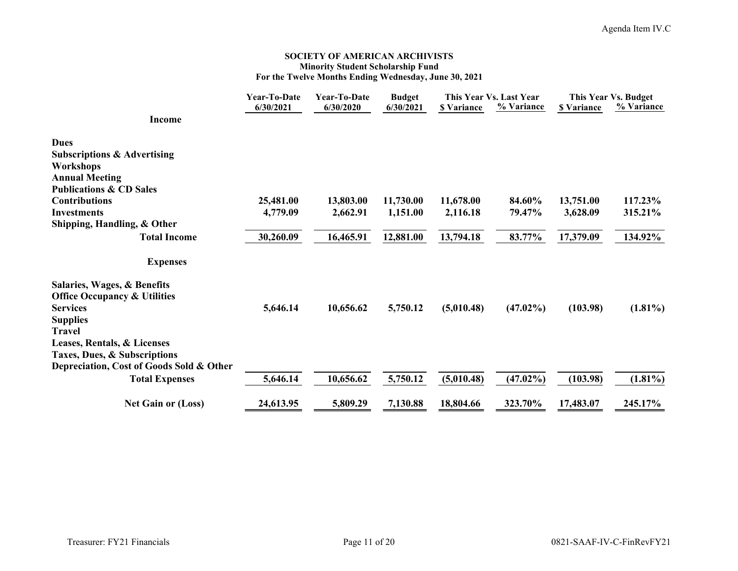#### **SOCIETY OF AMERICAN ARCHIVISTS Minority Student Scholarship Fund For the Twelve Months Ending Wednesday, June 30, 2021**

|                                          | Year-To-Date | Year-To-Date | <b>Budget</b> | This Year Vs. Last Year |             | This Year Vs. Budget |            |
|------------------------------------------|--------------|--------------|---------------|-------------------------|-------------|----------------------|------------|
|                                          | 6/30/2021    | 6/30/2020    | 6/30/2021     | <b>S</b> Variance       | % Variance  | <b>\$ Variance</b>   | % Variance |
| <b>Income</b>                            |              |              |               |                         |             |                      |            |
| <b>Dues</b>                              |              |              |               |                         |             |                      |            |
| <b>Subscriptions &amp; Advertising</b>   |              |              |               |                         |             |                      |            |
| Workshops                                |              |              |               |                         |             |                      |            |
| <b>Annual Meeting</b>                    |              |              |               |                         |             |                      |            |
| <b>Publications &amp; CD Sales</b>       |              |              |               |                         |             |                      |            |
| <b>Contributions</b>                     | 25,481.00    | 13,803.00    | 11,730.00     | 11,678.00               | 84.60%      | 13,751.00            | 117.23%    |
| <b>Investments</b>                       | 4,779.09     | 2,662.91     | 1,151.00      | 2,116.18                | 79.47%      | 3,628.09             | 315.21%    |
| Shipping, Handling, & Other              |              |              |               |                         |             |                      |            |
| <b>Total Income</b>                      | 30,260.09    | 16,465.91    | 12,881.00     | 13,794.18               | 83.77%      | 17,379.09            | 134.92%    |
| <b>Expenses</b>                          |              |              |               |                         |             |                      |            |
| Salaries, Wages, & Benefits              |              |              |               |                         |             |                      |            |
| <b>Office Occupancy &amp; Utilities</b>  |              |              |               |                         |             |                      |            |
| <b>Services</b>                          | 5,646.14     | 10,656.62    | 5,750.12      | (5,010.48)              | $(47.02\%)$ | (103.98)             | $(1.81\%)$ |
| <b>Supplies</b>                          |              |              |               |                         |             |                      |            |
| <b>Travel</b>                            |              |              |               |                         |             |                      |            |
| Leases, Rentals, & Licenses              |              |              |               |                         |             |                      |            |
| Taxes, Dues, & Subscriptions             |              |              |               |                         |             |                      |            |
| Depreciation, Cost of Goods Sold & Other |              |              |               |                         |             |                      |            |
| <b>Total Expenses</b>                    | 5,646.14     | 10,656.62    | 5,750.12      | (5,010.48)              | $(47.02\%)$ | (103.98)             | $(1.81\%)$ |
| <b>Net Gain or (Loss)</b>                | 24,613.95    | 5,809.29     | 7,130.88      | 18,804.66               | 323.70%     | 17,483.07            | 245.17%    |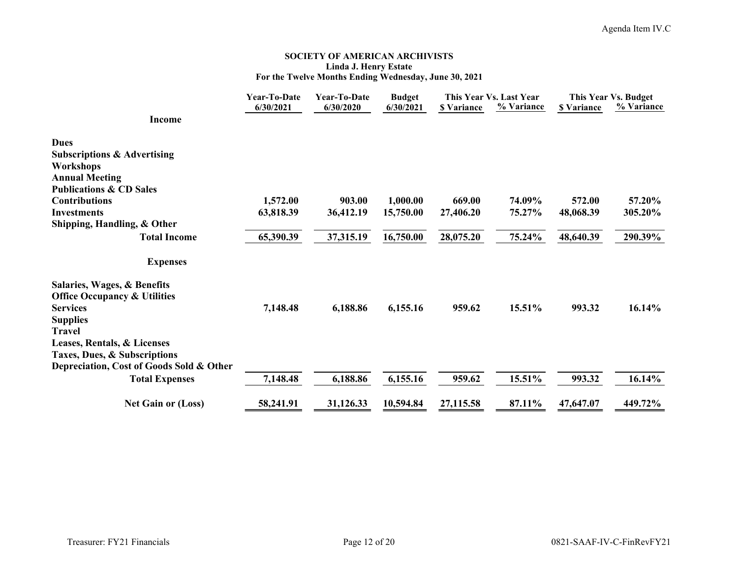#### **SOCIETY OF AMERICAN ARCHIVISTS Linda J. Henry Estate For the Twelve Months Ending Wednesday, June 30, 2021**

|                                          | Year-To-Date | Year-To-Date | <b>Budget</b> | This Year Vs. Last Year |            | This Year Vs. Budget |            |
|------------------------------------------|--------------|--------------|---------------|-------------------------|------------|----------------------|------------|
|                                          | 6/30/2021    | 6/30/2020    | 6/30/2021     | <b>S</b> Variance       | % Variance | <b>\$</b> Variance   | % Variance |
| <b>Income</b>                            |              |              |               |                         |            |                      |            |
| <b>Dues</b>                              |              |              |               |                         |            |                      |            |
| <b>Subscriptions &amp; Advertising</b>   |              |              |               |                         |            |                      |            |
| Workshops                                |              |              |               |                         |            |                      |            |
| <b>Annual Meeting</b>                    |              |              |               |                         |            |                      |            |
| <b>Publications &amp; CD Sales</b>       |              |              |               |                         |            |                      |            |
| <b>Contributions</b>                     | 1,572.00     | 903.00       | 1,000.00      | 669.00                  | 74.09%     | 572.00               | 57.20%     |
| <b>Investments</b>                       | 63,818.39    | 36,412.19    | 15,750.00     | 27,406.20               | 75.27%     | 48,068.39            | 305.20%    |
| Shipping, Handling, & Other              |              |              |               |                         |            |                      |            |
| <b>Total Income</b>                      | 65,390.39    | 37,315.19    | 16,750.00     | 28,075.20               | 75.24%     | 48,640.39            | 290.39%    |
| <b>Expenses</b>                          |              |              |               |                         |            |                      |            |
| Salaries, Wages, & Benefits              |              |              |               |                         |            |                      |            |
| <b>Office Occupancy &amp; Utilities</b>  |              |              |               |                         |            |                      |            |
| <b>Services</b>                          | 7,148.48     | 6,188.86     | 6,155.16      | 959.62                  | 15.51%     | 993.32               | 16.14%     |
| <b>Supplies</b>                          |              |              |               |                         |            |                      |            |
| <b>Travel</b>                            |              |              |               |                         |            |                      |            |
| Leases, Rentals, & Licenses              |              |              |               |                         |            |                      |            |
| Taxes, Dues, & Subscriptions             |              |              |               |                         |            |                      |            |
| Depreciation, Cost of Goods Sold & Other |              |              |               |                         |            |                      |            |
| <b>Total Expenses</b>                    | 7,148.48     | 6,188.86     | 6,155.16      | 959.62                  | 15.51%     | 993.32               | 16.14%     |
| <b>Net Gain or (Loss)</b>                | 58,241.91    | 31,126.33    | 10,594.84     | 27,115.58               | 87.11%     | 47,647.07            | 449.72%    |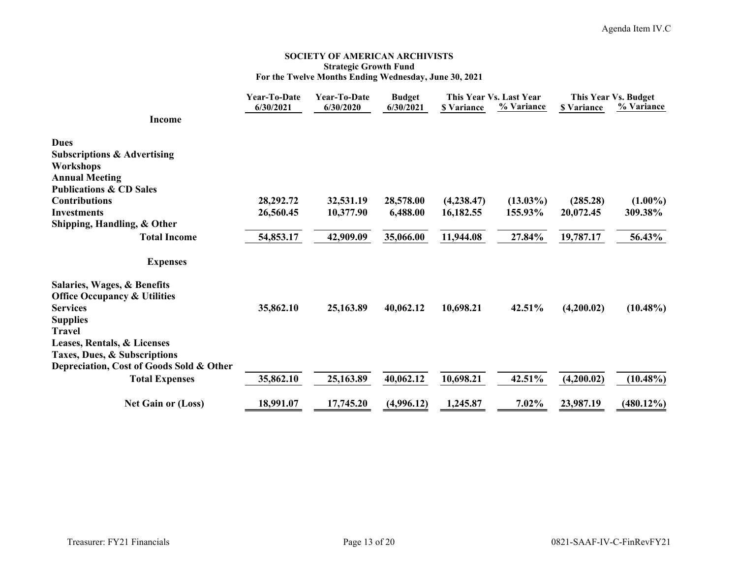#### **SOCIETY OF AMERICAN ARCHIVISTS Strategic Growth Fund For the Twelve Months Ending Wednesday, June 30, 2021**

|                                                                          | Year-To-Date | Year-To-Date | <b>Budget</b> | This Year Vs. Last Year |             | This Year Vs. Budget |              |
|--------------------------------------------------------------------------|--------------|--------------|---------------|-------------------------|-------------|----------------------|--------------|
| <b>Income</b>                                                            | 6/30/2021    | 6/30/2020    | 6/30/2021     | <b>\$ Variance</b>      | % Variance  | <b>\$ Variance</b>   | % Variance   |
| <b>Dues</b>                                                              |              |              |               |                         |             |                      |              |
| <b>Subscriptions &amp; Advertising</b>                                   |              |              |               |                         |             |                      |              |
| Workshops                                                                |              |              |               |                         |             |                      |              |
| <b>Annual Meeting</b>                                                    |              |              |               |                         |             |                      |              |
| <b>Publications &amp; CD Sales</b><br><b>Contributions</b>               | 28,292.72    | 32,531.19    | 28,578.00     | (4,238.47)              | $(13.03\%)$ | (285.28)             | $(1.00\%)$   |
| <b>Investments</b>                                                       | 26,560.45    | 10,377.90    | 6,488.00      | 16,182.55               | 155.93%     | 20,072.45            | 309.38%      |
| Shipping, Handling, & Other                                              |              |              |               |                         |             |                      |              |
| <b>Total Income</b>                                                      | 54,853.17    | 42,909.09    | 35,066.00     | 11,944.08               | 27.84%      | 19,787.17            | 56.43%       |
| <b>Expenses</b>                                                          |              |              |               |                         |             |                      |              |
| Salaries, Wages, & Benefits                                              |              |              |               |                         |             |                      |              |
| <b>Office Occupancy &amp; Utilities</b>                                  |              |              |               |                         |             |                      |              |
| <b>Services</b>                                                          | 35,862.10    | 25,163.89    | 40,062.12     | 10,698.21               | 42.51%      | (4,200.02)           | $(10.48\%)$  |
| <b>Supplies</b>                                                          |              |              |               |                         |             |                      |              |
| <b>Travel</b>                                                            |              |              |               |                         |             |                      |              |
| Leases, Rentals, & Licenses                                              |              |              |               |                         |             |                      |              |
| Taxes, Dues, & Subscriptions<br>Depreciation, Cost of Goods Sold & Other |              |              |               |                         |             |                      |              |
| <b>Total Expenses</b>                                                    | 35,862.10    | 25,163.89    | 40,062.12     | 10,698.21               | 42.51%      | (4,200.02)           | $(10.48\%)$  |
|                                                                          |              |              |               |                         |             |                      |              |
| <b>Net Gain or (Loss)</b>                                                | 18,991.07    | 17,745.20    | (4,996.12)    | 1,245.87                | 7.02%       | 23,987.19            | $(480.12\%)$ |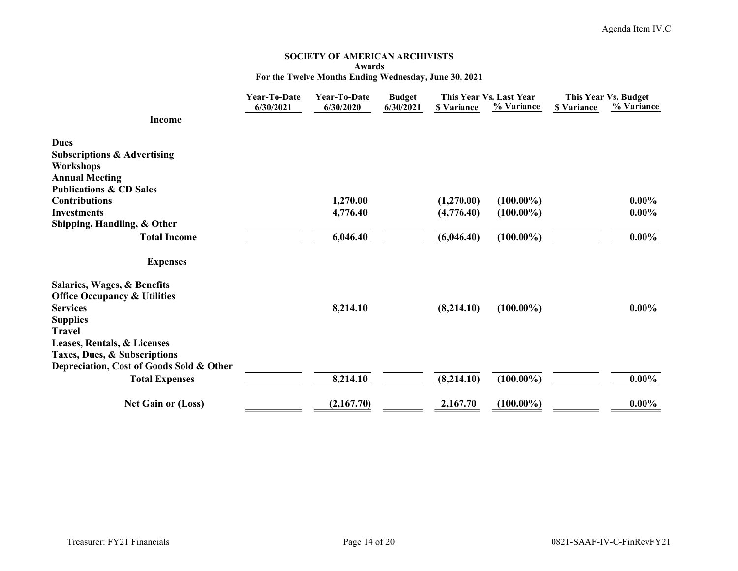#### **SOCIETY OF AMERICAN ARCHIVISTS Awards For the Twelve Months Ending Wednesday, June 30, 2021**

|                                                             | <b>Year-To-Date</b> | <b>Year-To-Date</b> | <b>Budget</b> | This Year Vs. Last Year |              | This Year Vs. Budget |            |
|-------------------------------------------------------------|---------------------|---------------------|---------------|-------------------------|--------------|----------------------|------------|
| <b>Income</b>                                               | 6/30/2021           | 6/30/2020           | 6/30/2021     | <b>\$</b> Variance      | % Variance   | <b>\$ Variance</b>   | % Variance |
| <b>Dues</b>                                                 |                     |                     |               |                         |              |                      |            |
| <b>Subscriptions &amp; Advertising</b>                      |                     |                     |               |                         |              |                      |            |
| Workshops                                                   |                     |                     |               |                         |              |                      |            |
| <b>Annual Meeting</b><br><b>Publications &amp; CD Sales</b> |                     |                     |               |                         |              |                      |            |
| <b>Contributions</b>                                        |                     | 1,270.00            |               | (1,270.00)              | $(100.00\%)$ |                      | $0.00\%$   |
| <b>Investments</b>                                          |                     | 4,776.40            |               | (4,776.40)              | $(100.00\%)$ |                      | $0.00\%$   |
| Shipping, Handling, & Other                                 |                     |                     |               |                         |              |                      |            |
| <b>Total Income</b>                                         |                     | 6,046.40            |               | (6,046.40)              | $(100.00\%)$ |                      | $0.00\%$   |
| <b>Expenses</b>                                             |                     |                     |               |                         |              |                      |            |
| Salaries, Wages, & Benefits                                 |                     |                     |               |                         |              |                      |            |
| <b>Office Occupancy &amp; Utilities</b>                     |                     |                     |               |                         |              |                      |            |
| <b>Services</b>                                             |                     | 8,214.10            |               | (8,214.10)              | $(100.00\%)$ |                      | $0.00\%$   |
| <b>Supplies</b>                                             |                     |                     |               |                         |              |                      |            |
| <b>Travel</b>                                               |                     |                     |               |                         |              |                      |            |
| Leases, Rentals, & Licenses<br>Taxes, Dues, & Subscriptions |                     |                     |               |                         |              |                      |            |
| Depreciation, Cost of Goods Sold & Other                    |                     |                     |               |                         |              |                      |            |
| <b>Total Expenses</b>                                       |                     | 8,214.10            |               | (8,214.10)              | $(100.00\%)$ |                      | $0.00\%$   |
| <b>Net Gain or (Loss)</b>                                   |                     | (2,167.70)          |               | 2,167.70                | $(100.00\%)$ |                      | $0.00\%$   |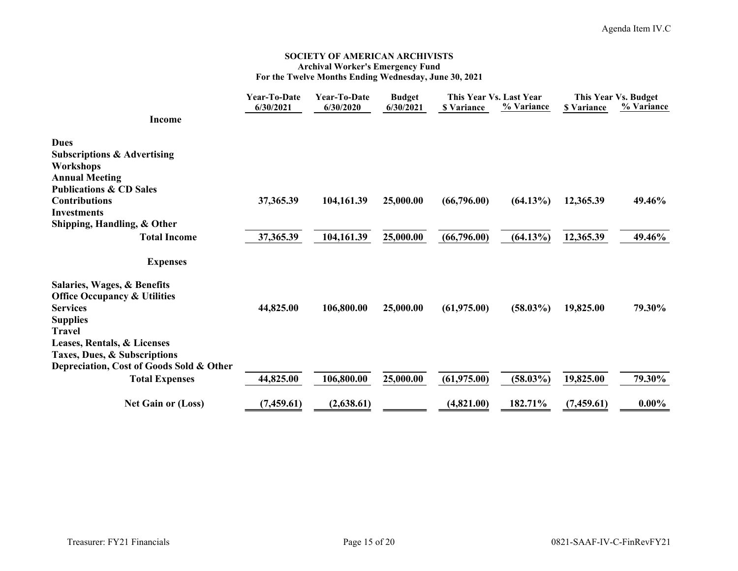#### **SOCIETY OF AMERICAN ARCHIVISTS Archival Worker's Emergency Fund For the Twelve Months Ending Wednesday, June 30, 2021**

|                                                   | Year-To-Date | Year-To-Date | <b>Budget</b> | This Year Vs. Last Year |             | This Year Vs. Budget |            |
|---------------------------------------------------|--------------|--------------|---------------|-------------------------|-------------|----------------------|------------|
| <b>Income</b>                                     | 6/30/2021    | 6/30/2020    | 6/30/2021     | <b>S</b> Variance       | % Variance  | <b>\$</b> Variance   | % Variance |
| <b>Dues</b>                                       |              |              |               |                         |             |                      |            |
| <b>Subscriptions &amp; Advertising</b>            |              |              |               |                         |             |                      |            |
| <b>Workshops</b><br><b>Annual Meeting</b>         |              |              |               |                         |             |                      |            |
| <b>Publications &amp; CD Sales</b>                |              |              |               |                         |             |                      |            |
| <b>Contributions</b>                              | 37,365.39    | 104,161.39   | 25,000.00     | (66,796.00)             | $(64.13\%)$ | 12,365.39            | 49.46%     |
| <b>Investments</b><br>Shipping, Handling, & Other |              |              |               |                         |             |                      |            |
| <b>Total Income</b>                               | 37,365.39    | 104,161.39   | 25,000.00     | (66,796.00)             | $(64.13\%)$ | 12,365.39            | 49.46%     |
|                                                   |              |              |               |                         |             |                      |            |
| <b>Expenses</b>                                   |              |              |               |                         |             |                      |            |
| Salaries, Wages, & Benefits                       |              |              |               |                         |             |                      |            |
| <b>Office Occupancy &amp; Utilities</b>           |              |              |               |                         |             |                      |            |
| <b>Services</b>                                   | 44,825.00    | 106,800.00   | 25,000.00     | (61,975.00)             | $(58.03\%)$ | 19,825.00            | 79.30%     |
| <b>Supplies</b><br><b>Travel</b>                  |              |              |               |                         |             |                      |            |
| Leases, Rentals, & Licenses                       |              |              |               |                         |             |                      |            |
| Taxes, Dues, & Subscriptions                      |              |              |               |                         |             |                      |            |
| Depreciation, Cost of Goods Sold & Other          |              |              |               |                         |             |                      |            |
| <b>Total Expenses</b>                             | 44,825.00    | 106,800.00   | 25,000.00     | (61,975.00)             | $(58.03\%)$ | 19,825.00            | 79.30%     |
| <b>Net Gain or (Loss)</b>                         | (7,459.61)   | (2,638.61)   |               | (4,821.00)              | 182.71%     | (7,459.61)           | $0.00\%$   |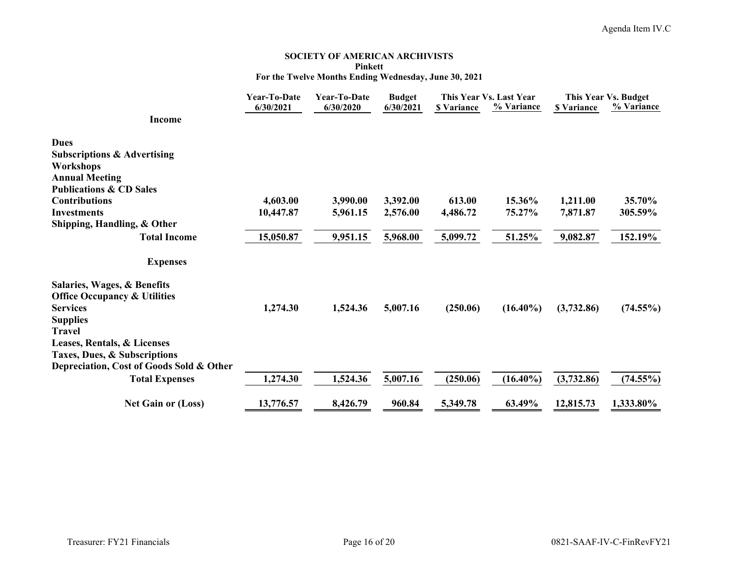#### **SOCIETY OF AMERICAN ARCHIVISTS Pinkett For the Twelve Months Ending Wednesday, June 30, 2021**

|                                                             | <b>Year-To-Date</b><br>6/30/2021 | <b>Year-To-Date</b><br>6/30/2020 | <b>Budget</b><br>6/30/2021 | <b>\$</b> Variance | This Year Vs. Last Year<br>% Variance | <b>\$ Variance</b> | This Year Vs. Budget<br>% Variance |  |
|-------------------------------------------------------------|----------------------------------|----------------------------------|----------------------------|--------------------|---------------------------------------|--------------------|------------------------------------|--|
| <b>Income</b>                                               |                                  |                                  |                            |                    |                                       |                    |                                    |  |
| <b>Dues</b>                                                 |                                  |                                  |                            |                    |                                       |                    |                                    |  |
| <b>Subscriptions &amp; Advertising</b>                      |                                  |                                  |                            |                    |                                       |                    |                                    |  |
| Workshops<br><b>Annual Meeting</b>                          |                                  |                                  |                            |                    |                                       |                    |                                    |  |
| <b>Publications &amp; CD Sales</b>                          |                                  |                                  |                            |                    |                                       |                    |                                    |  |
| <b>Contributions</b>                                        | 4,603.00                         | 3,990.00                         | 3,392.00                   | 613.00             | 15.36%                                | 1,211.00           | 35.70%                             |  |
| <b>Investments</b>                                          | 10,447.87                        | 5,961.15                         | 2,576.00                   | 4,486.72           | 75.27%                                | 7,871.87           | 305.59%                            |  |
| Shipping, Handling, & Other                                 |                                  |                                  |                            |                    |                                       |                    |                                    |  |
| <b>Total Income</b>                                         | 15,050.87                        | 9,951.15                         | 5,968.00                   | 5,099.72           | 51.25%                                | 9,082.87           | 152.19%                            |  |
| <b>Expenses</b>                                             |                                  |                                  |                            |                    |                                       |                    |                                    |  |
| Salaries, Wages, & Benefits                                 |                                  |                                  |                            |                    |                                       |                    |                                    |  |
| <b>Office Occupancy &amp; Utilities</b>                     |                                  |                                  |                            |                    |                                       |                    |                                    |  |
| <b>Services</b>                                             | 1,274.30                         | 1,524.36                         | 5,007.16                   | (250.06)           | $(16.40\%)$                           | (3,732.86)         | $(74.55\%)$                        |  |
| <b>Supplies</b>                                             |                                  |                                  |                            |                    |                                       |                    |                                    |  |
| <b>Travel</b>                                               |                                  |                                  |                            |                    |                                       |                    |                                    |  |
| Leases, Rentals, & Licenses<br>Taxes, Dues, & Subscriptions |                                  |                                  |                            |                    |                                       |                    |                                    |  |
| Depreciation, Cost of Goods Sold & Other                    |                                  |                                  |                            |                    |                                       |                    |                                    |  |
| <b>Total Expenses</b>                                       | 1,274.30                         | 1,524.36                         | 5,007.16                   | (250.06)           | $(16.40\%)$                           | (3,732.86)         | $(74.55\%)$                        |  |
| <b>Net Gain or (Loss)</b>                                   | 13,776.57                        | 8,426.79                         | 960.84                     | 5,349.78           | 63.49%                                | 12,815.73          | 1,333.80%                          |  |
|                                                             |                                  |                                  |                            |                    |                                       |                    |                                    |  |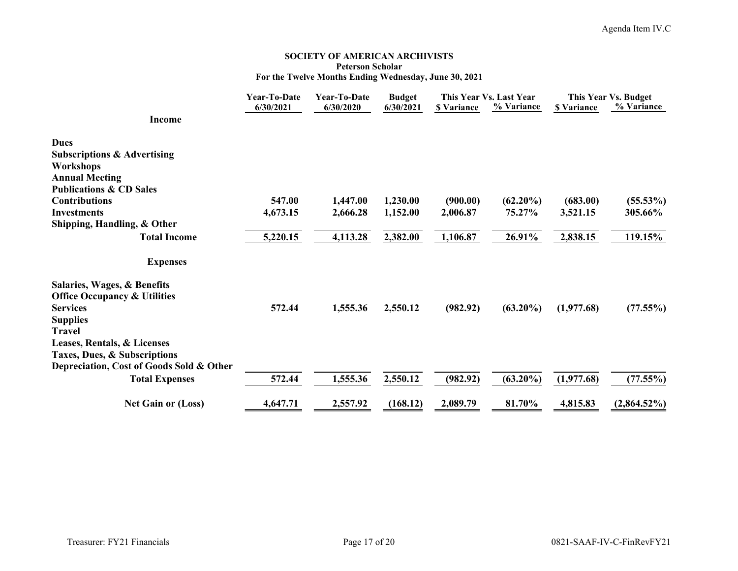#### **SOCIETY OF AMERICAN ARCHIVISTS Peterson Scholar For the Twelve Months Ending Wednesday, June 30, 2021**

|                                          | Year-To-Date | <b>Year-To-Date</b> | <b>Budget</b> | This Year Vs. Last Year |             | This Year Vs. Budget |                |
|------------------------------------------|--------------|---------------------|---------------|-------------------------|-------------|----------------------|----------------|
|                                          | 6/30/2021    | 6/30/2020           | 6/30/2021     | <b>\$ Variance</b>      | % Variance  | <b>\$ Variance</b>   | % Variance     |
| <b>Income</b>                            |              |                     |               |                         |             |                      |                |
| <b>Dues</b>                              |              |                     |               |                         |             |                      |                |
| <b>Subscriptions &amp; Advertising</b>   |              |                     |               |                         |             |                      |                |
| Workshops                                |              |                     |               |                         |             |                      |                |
| <b>Annual Meeting</b>                    |              |                     |               |                         |             |                      |                |
| <b>Publications &amp; CD Sales</b>       |              |                     |               |                         |             |                      |                |
| <b>Contributions</b>                     | 547.00       | 1,447.00            | 1,230.00      | (900.00)                | $(62.20\%)$ | (683.00)             | $(55.53\%)$    |
| <b>Investments</b>                       | 4,673.15     | 2,666.28            | 1,152.00      | 2,006.87                | 75.27%      | 3,521.15             | 305.66%        |
| Shipping, Handling, & Other              |              |                     |               |                         |             |                      |                |
| <b>Total Income</b>                      | 5,220.15     | 4,113.28            | 2,382.00      | 1,106.87                | 26.91%      | 2,838.15             | 119.15%        |
| <b>Expenses</b>                          |              |                     |               |                         |             |                      |                |
| Salaries, Wages, & Benefits              |              |                     |               |                         |             |                      |                |
| <b>Office Occupancy &amp; Utilities</b>  |              |                     |               |                         |             |                      |                |
| <b>Services</b>                          | 572.44       | 1,555.36            | 2,550.12      | (982.92)                | $(63.20\%)$ | (1,977.68)           | (77.55%)       |
| <b>Supplies</b>                          |              |                     |               |                         |             |                      |                |
| Travel                                   |              |                     |               |                         |             |                      |                |
| Leases, Rentals, & Licenses              |              |                     |               |                         |             |                      |                |
| Taxes, Dues, & Subscriptions             |              |                     |               |                         |             |                      |                |
| Depreciation, Cost of Goods Sold & Other |              |                     |               |                         |             |                      |                |
| <b>Total Expenses</b>                    | 572.44       | 1,555.36            | 2,550.12      | (982.92)                | $(63.20\%)$ | (1,977.68)           | (77.55%)       |
| <b>Net Gain or (Loss)</b>                | 4,647.71     | 2,557.92            | (168.12)      | 2,089.79                | 81.70%      | 4,815.83             | $(2,864.52\%)$ |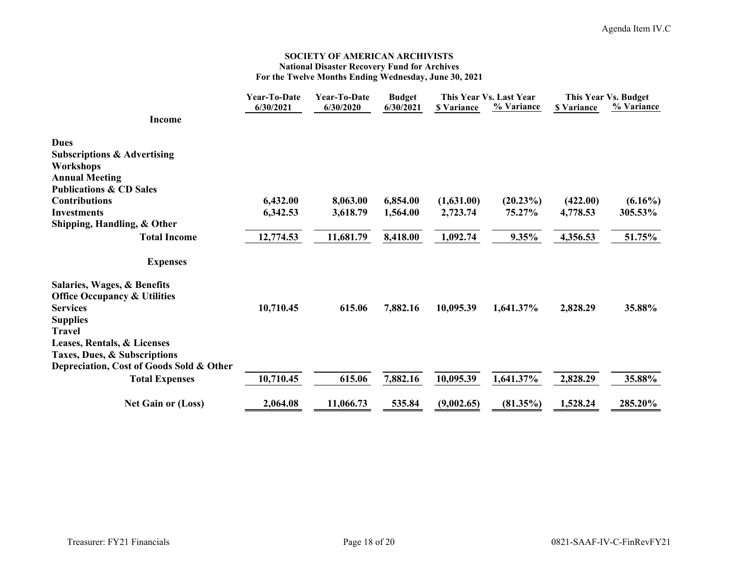#### **SOCIETY OF AMERICAN ARCHIVISTS National Disaster Recovery Fund for Archives For the Twelve Months Ending Wednesday, June 30, 2021**

|                                          | <b>Year-To-Date</b> | Year-To-Date | <b>Budget</b> |                    | This Year Vs. Last Year |                    | This Year Vs. Budget |  |
|------------------------------------------|---------------------|--------------|---------------|--------------------|-------------------------|--------------------|----------------------|--|
|                                          | 6/30/2021           | 6/30/2020    | 6/30/2021     | <b>\$ Variance</b> | % Variance              | <b>\$ Variance</b> | % Variance           |  |
| <b>Income</b>                            |                     |              |               |                    |                         |                    |                      |  |
| <b>Dues</b>                              |                     |              |               |                    |                         |                    |                      |  |
| <b>Subscriptions &amp; Advertising</b>   |                     |              |               |                    |                         |                    |                      |  |
| Workshops                                |                     |              |               |                    |                         |                    |                      |  |
| <b>Annual Meeting</b>                    |                     |              |               |                    |                         |                    |                      |  |
| <b>Publications &amp; CD Sales</b>       |                     |              |               |                    |                         |                    |                      |  |
| <b>Contributions</b>                     | 6,432.00            | 8,063.00     | 6,854.00      | (1,631.00)         | $(20.23\%)$             | (422.00)           | $(6.16\%)$           |  |
| <b>Investments</b>                       | 6,342.53            | 3,618.79     | 1,564.00      | 2,723.74           | 75.27%                  | 4,778.53           | 305.53%              |  |
| Shipping, Handling, & Other              |                     |              |               |                    |                         |                    |                      |  |
| <b>Total Income</b>                      | 12,774.53           | 11,681.79    | 8,418.00      | 1,092.74           | 9.35%                   | 4,356.53           | 51.75%               |  |
| <b>Expenses</b>                          |                     |              |               |                    |                         |                    |                      |  |
| Salaries, Wages, & Benefits              |                     |              |               |                    |                         |                    |                      |  |
| <b>Office Occupancy &amp; Utilities</b>  |                     |              |               |                    |                         |                    |                      |  |
| <b>Services</b>                          | 10,710.45           | 615.06       | 7,882.16      | 10,095.39          | 1,641.37%               | 2,828.29           | 35.88%               |  |
| <b>Supplies</b>                          |                     |              |               |                    |                         |                    |                      |  |
| <b>Travel</b>                            |                     |              |               |                    |                         |                    |                      |  |
| Leases, Rentals, & Licenses              |                     |              |               |                    |                         |                    |                      |  |
| Taxes, Dues, & Subscriptions             |                     |              |               |                    |                         |                    |                      |  |
| Depreciation, Cost of Goods Sold & Other |                     |              |               |                    |                         |                    |                      |  |
| <b>Total Expenses</b>                    | 10,710.45           | 615.06       | 7,882.16      | 10,095.39          | 1,641.37%               | 2,828.29           | 35.88%               |  |
| <b>Net Gain or (Loss)</b>                | 2,064.08            | 11,066.73    | 535.84        | (9,002.65)         | (81.35%)                | 1,528.24           | 285.20%              |  |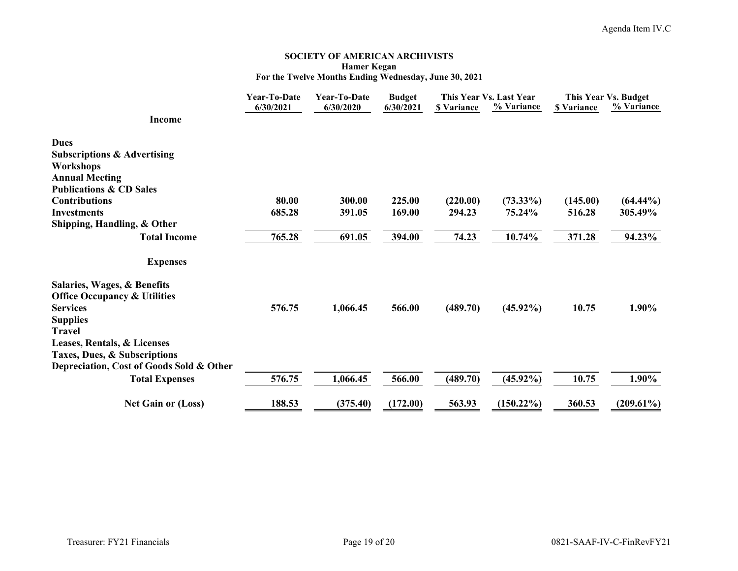#### **SOCIETY OF AMERICAN ARCHIVISTS Hamer Kegan For the Twelve Months Ending Wednesday, June 30, 2021**

|                                                             | <b>Year-To-Date</b> | Year-To-Date | <b>Budget</b> |                    | This Year Vs. Last Year |                    | This Year Vs. Budget |  |
|-------------------------------------------------------------|---------------------|--------------|---------------|--------------------|-------------------------|--------------------|----------------------|--|
| <b>Income</b>                                               | 6/30/2021           | 6/30/2020    | 6/30/2021     | <b>\$ Variance</b> | % Variance              | <b>\$ Variance</b> | % Variance           |  |
| <b>Dues</b>                                                 |                     |              |               |                    |                         |                    |                      |  |
| <b>Subscriptions &amp; Advertising</b>                      |                     |              |               |                    |                         |                    |                      |  |
| <b>Workshops</b>                                            |                     |              |               |                    |                         |                    |                      |  |
| <b>Annual Meeting</b><br><b>Publications &amp; CD Sales</b> |                     |              |               |                    |                         |                    |                      |  |
| <b>Contributions</b>                                        | 80.00               | 300.00       | 225.00        | (220.00)           | $(73.33\%)$             | (145.00)           | $(64.44\%)$          |  |
| <b>Investments</b>                                          | 685.28              | 391.05       | 169.00        | 294.23             | 75.24%                  | 516.28             | 305.49%              |  |
| Shipping, Handling, & Other                                 |                     |              |               |                    |                         |                    |                      |  |
| <b>Total Income</b>                                         | 765.28              | 691.05       | 394.00        | 74.23              | 10.74%                  | 371.28             | 94.23%               |  |
| <b>Expenses</b>                                             |                     |              |               |                    |                         |                    |                      |  |
| Salaries, Wages, & Benefits                                 |                     |              |               |                    |                         |                    |                      |  |
| <b>Office Occupancy &amp; Utilities</b>                     |                     |              |               |                    |                         |                    |                      |  |
| <b>Services</b>                                             | 576.75              | 1,066.45     | 566.00        | (489.70)           | $(45.92\%)$             | 10.75              | 1.90%                |  |
| <b>Supplies</b>                                             |                     |              |               |                    |                         |                    |                      |  |
| <b>Travel</b>                                               |                     |              |               |                    |                         |                    |                      |  |
| Leases, Rentals, & Licenses<br>Taxes, Dues, & Subscriptions |                     |              |               |                    |                         |                    |                      |  |
| Depreciation, Cost of Goods Sold & Other                    |                     |              |               |                    |                         |                    |                      |  |
| <b>Total Expenses</b>                                       | 576.75              | 1,066.45     | 566.00        | (489.70)           | $(45.92\%)$             | 10.75              | 1.90%                |  |
| <b>Net Gain or (Loss)</b>                                   | 188.53              | (375.40)     | (172.00)      | 563.93             | $(150.22\%)$            | 360.53             | $(209.61\%)$         |  |